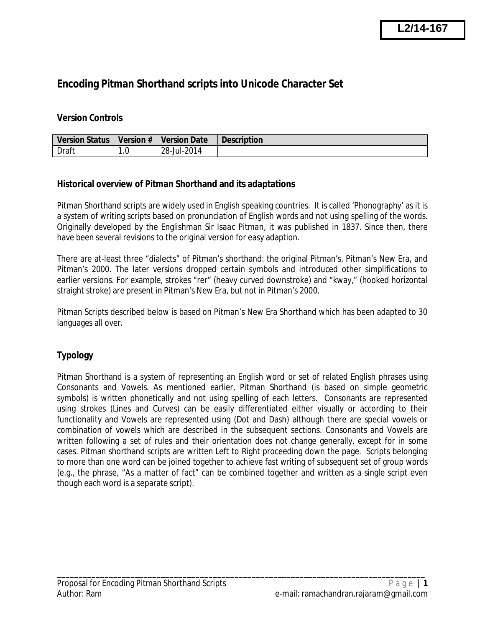# **Encoding Pitman Shorthand scripts into Unicode Character Set**

#### **Version Controls**

| <b>Version Status</b> | <b>Version #</b> | <b>Version Date</b> | <b>Description</b> |
|-----------------------|------------------|---------------------|--------------------|
| Draft                 | .u               | 28-Jul-2014         |                    |

#### **Historical overview of Pitman Shorthand and its adaptations**

Pitman Shorthand scripts are widely used in English speaking countries. It is called 'Phonography' as it is a system of writing scripts based on pronunciation of English words and not using spelling of the words. Originally developed by the Englishman *Sir Isaac Pitman,* it was published in 1837. Since then, there have been several revisions to the original version for easy adaption.

There are at-least three "dialects" of Pitman's shorthand: the original Pitman's, Pitman's New Era, and Pitman's 2000. The later versions dropped certain symbols and introduced other simplifications to earlier versions. For example, strokes "rer" (heavy curved downstroke) and "kway," (hooked horizontal straight stroke) are present in Pitman's New Era, but not in Pitman's 2000.

Pitman Scripts described below is based on Pitman's New Era Shorthand which has been adapted to 30 languages all over.

### **Typology**

Pitman Shorthand is a system of representing an English word or set of related English phrases using Consonants and Vowels. As mentioned earlier, Pitman Shorthand (is based on simple geometric symbols) is written phonetically and not using spelling of each letters. Consonants are represented using strokes (Lines and Curves) can be easily differentiated either visually or according to their functionality and Vowels are represented using (Dot and Dash) although there are special vowels or combination of vowels which are described in the subsequent sections. Consonants and Vowels are written following a set of rules and their orientation does not change generally, except for in some cases. Pitman shorthand scripts are written Left to Right proceeding down the page. Scripts belonging to more than one word can be joined together to achieve fast writing of subsequent set of group words (e.g., the phrase, "As a matter of fact" can be combined together and written as a single script even though each word is a separate script).

\_\_\_\_\_\_\_\_\_\_\_\_\_\_\_\_\_\_\_\_\_\_\_\_\_\_\_\_\_\_\_\_\_\_\_\_\_\_\_\_\_\_\_\_\_\_\_\_\_\_\_\_\_\_\_\_\_\_\_\_\_\_\_\_\_\_\_\_\_\_\_\_\_\_\_\_\_\_\_\_\_\_\_\_\_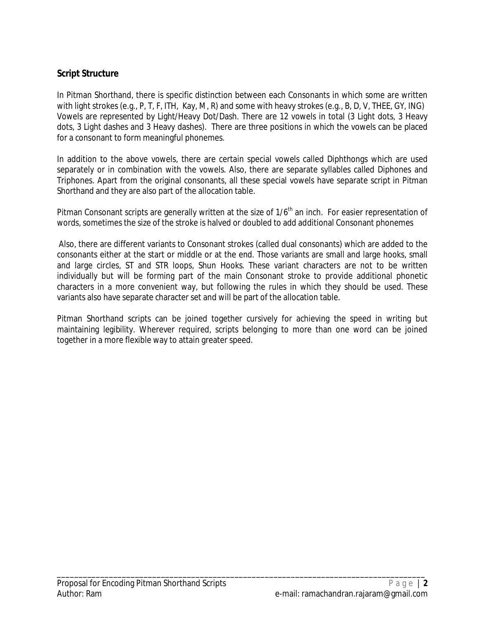### **Script Structure**

In Pitman Shorthand, there is specific distinction between each Consonants in which some are written with light strokes (e.g., P, T, F, ITH, Kay, M, R) and some with heavy strokes (e.g., B, D, V, THEE, GY, ING) Vowels are represented by Light/Heavy Dot/Dash. There are 12 vowels in total (3 Light dots, 3 Heavy dots, 3 Light dashes and 3 Heavy dashes). There are three positions in which the vowels can be placed for a consonant to form meaningful phonemes.

In addition to the above vowels, there are certain special vowels called Diphthongs which are used separately or in combination with the vowels. Also, there are separate syllables called Diphones and Triphones. Apart from the original consonants, all these special vowels have separate script in Pitman Shorthand and they are also part of the allocation table.

Pitman Consonant scripts are generally written at the size of 1/6<sup>th</sup> an inch. For easier representation of words, sometimes the size of the stroke is halved or doubled to add additional Consonant phonemes

Also, there are different variants to Consonant strokes (called dual consonants) which are added to the consonants either at the start or middle or at the end. Those variants are small and large hooks, small and large circles, ST and STR loops, Shun Hooks. These variant characters are not to be written individually but will be forming part of the main Consonant stroke to provide additional phonetic characters in a more convenient way, but following the rules in which they should be used. These variants also have separate character set and will be part of the allocation table.

Pitman Shorthand scripts can be joined together cursively for achieving the speed in writing but maintaining legibility. Wherever required, scripts belonging to more than one word can be joined together in a more flexible way to attain greater speed.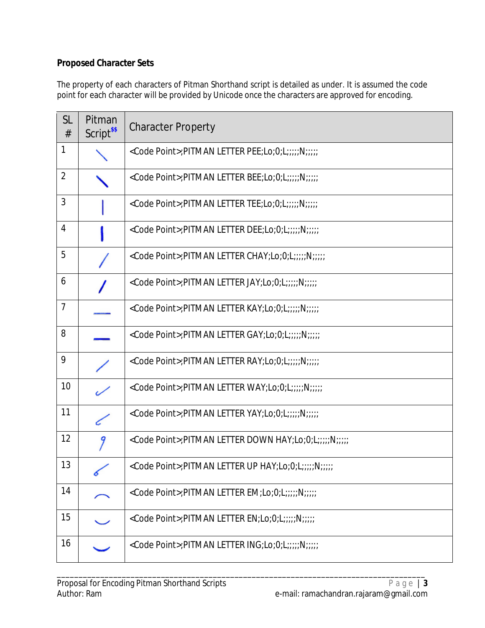## **Proposed Character Sets**

The property of each characters of Pitman Shorthand script is detailed as under. It is assumed the code point for each character will be provided by Unicode once the characters are approved for encoding.

| <b>SL</b><br># | Pitman<br>Script <sup>\$\$</sup> | <b>Character Property</b>                                       |
|----------------|----------------------------------|-----------------------------------------------------------------|
| $\mathbf{1}$   |                                  | <code point="">;PITMAN LETTER PEE;Lo;0;L;;;;;N;;;;;</code>      |
| $\overline{2}$ |                                  | <code point="">;PITMAN LETTER BEE;Lo;0;L;;;;;N;;;;;</code>      |
| $\mathfrak{Z}$ |                                  | <code point="">;PITMAN LETTER TEE;Lo;0;L;;;;;N;;;;;</code>      |
| $\overline{4}$ |                                  | <code point="">;PITMAN LETTER DEE;Lo;0;L;;;;;N;;;;;</code>      |
| 5              |                                  | <code point="">;PITMAN LETTER CHAY;Lo;0;L;;;;;N;;;;;</code>     |
| 6              |                                  | <code point="">;PITMAN LETTER JAY;Lo;0;L;;;;;N;;;;;</code>      |
| $\overline{7}$ |                                  | <code point="">;PITMAN LETTER KAY;Lo;0;L;;;;;N;;;;;</code>      |
| 8              |                                  | <code point="">;PITMAN LETTER GAY;Lo;0;L;;;;;N;;;;;</code>      |
| 9              |                                  | <code point="">;PITMAN LETTER RAY;Lo;0;L;;;;;N;;;;;</code>      |
| 10             |                                  | <code point="">;PITMAN LETTER WAY;Lo;0;L;;;;;N;;;;;</code>      |
| 11             |                                  | <code point="">;PITMAN LETTER YAY;Lo;0;L;;;;;N;;;;;</code>      |
| 12             | 9                                | <code point="">;PITMAN LETTER DOWN HAY;Lo;0;L;;;;;N;;;;;</code> |
| 13             |                                  | <code point="">;PITMAN LETTER UP HAY;Lo;0;L;;;;;N;;;;;</code>   |
| 14             |                                  | <code point="">;PITMAN LETTER EM;Lo;0;L;;;;;N;;;;;</code>       |
| 15             |                                  | <code point="">;PITMAN LETTER EN;Lo;0;L;;;;;N;;;;;</code>       |
| 16             |                                  | <code point="">;PITMAN LETTER ING;Lo;0;L;;;;;N;;;;;</code>      |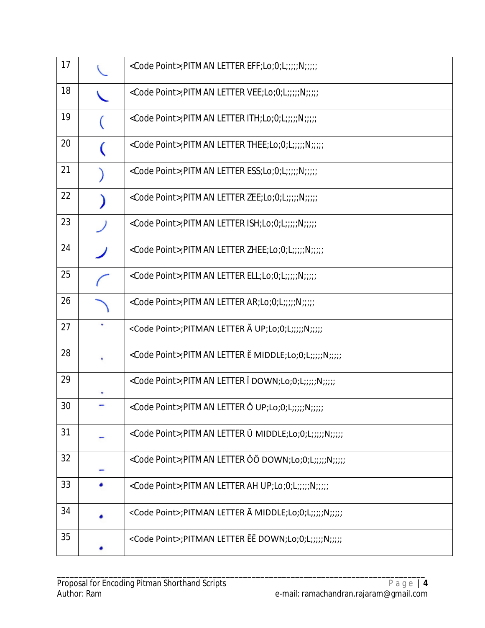| 17 |   | <code point="">;PITMAN LETTER EFF;Lo;0;L;;;;;N;;;;;</code>      |
|----|---|-----------------------------------------------------------------|
| 18 |   | <code point="">;PITMAN LETTER VEE;Lo;0;L;;;;;N;;;;;</code>      |
| 19 |   | <code point="">;PITMAN LETTER ITH;Lo;0;L;;;;;N;;;;;</code>      |
| 20 |   | <code point="">;PITMAN LETTER THEE;Lo;0;L;;;;;N;;;;;</code>     |
| 21 |   | <code point="">;PITMAN LETTER ESS;Lo;0;L;;;;;N;;;;;</code>      |
| 22 |   | <code point="">;PITMAN LETTER ZEE;Lo;0;L;;;;;N;;;;;</code>      |
| 23 |   | <code point="">;PITMAN LETTER ISH;Lo;0;L;;;;;N;;;;;</code>      |
| 24 |   | <code point="">;PITMAN LETTER ZHEE;Lo;0;L;;;;;N;;;;;</code>     |
| 25 |   | <code point="">;PITMAN LETTER ELL;Lo;0;L;;;;;N;;;;;</code>      |
| 26 |   | <code point="">;PITMAN LETTER AR;Lo;0;L;;;;;N;;;;;</code>       |
| 27 | ٠ | <code point="">;PITMAN LETTER Ă UP;Lo;0;L;;;;;N;;;;;</code>     |
| 28 |   | <code point="">;PITMAN LETTER E MIDDLE;Lo;0;L;;;;;N;;;;;</code> |
| 29 |   | <code point="">;PITMAN LETTER I DOWN;Lo;0;L;;;;;N;;;;;</code>   |
| 30 |   | <code point="">;PITMAN LETTER Ŏ UP;Lo;0;L;;;;;N;;;;;</code>     |
| 31 |   | <code point="">;PITMAN LETTER Ŭ MIDDLE;Lo;0;L;;;;;N;;;;;</code> |
| 32 |   | <code point="">;PITMAN LETTER OO DOWN;Lo;0;L;;;;;N;;;;;</code>  |
| 33 |   | <code point="">;PITMAN LETTER AH UP;Lo;0;L;;;;;N;;;;;</code>    |
| 34 |   | <code point="">;PITMAN LETTER A MIDDLE;Lo;0;L;;;;;N;;;;;</code> |
| 35 |   | <code point="">;PITMAN LETTER EE DOWN;Lo;0;L;;;;;N;;;;;</code>  |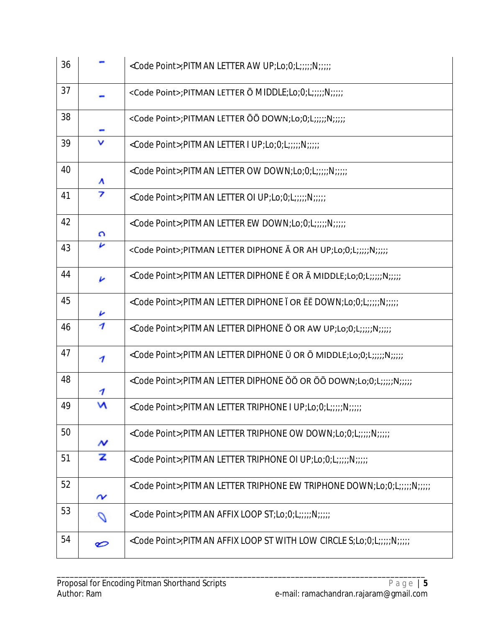| 36 |                              | <code point="">;PITMAN LETTER AW UP;Lo;0;L;;;;;N;;;;;</code>                      |
|----|------------------------------|-----------------------------------------------------------------------------------|
| 37 |                              | <code point="">;PITMAN LETTER O MIDDLE;Lo;0;L;;;;;N;;;;;</code>                   |
| 38 |                              | <code point="">;PITMAN LETTER OO DOWN;Lo;0;L;;;;;N;;;;;</code>                    |
| 39 | ν                            | <code point="">;PITMAN LETTER I UP;Lo;0;L;;;;;N;;;;;</code>                       |
| 40 | ۸                            | <code point="">;PITMAN LETTER OW DOWN;Lo;0;L;;;;;N;;;;;</code>                    |
| 41 | 7                            | <code point="">;PITMAN LETTER OI UP;Lo;0;L;;;;;N;;;;;</code>                      |
| 42 | Ω                            | <code point="">;PITMAN LETTER EW DOWN;Lo;0;L;;;;;N;;;;;</code>                    |
| 43 | v                            | <code point="">;PITMAN LETTER DIPHONE Ă OR AH UP;Lo;0;L;;;;;N;;;;;</code>         |
| 44 | v                            | <code point="">; PITMAN LETTER DIPHONE E OR A MIDDLE; Lo; 0; L;;;;; N;;;;;</code> |
| 45 |                              | <code point="">;PITMAN LETTER DIPHONE I OR EE DOWN;Lo;0;L;;;;;N;;;;;</code>       |
| 46 | $\overline{\mathcal{U}}$     | <code point="">;PITMAN LETTER DIPHONE O OR AW UP;Lo;0;L;;;;;N;;;;;</code>         |
| 47 | 1                            | <code point="">;PITMAN LETTER DIPHONE Ŭ OR Ō MIDDLE;Lo;0;L;;;;;N;;;;;</code>      |
| 48 | 1                            | <code point="">;PITMAN LETTER DIPHONE ŎŎ OR ŌŌ DOWN;Lo;0;L;;;;;N;;;;;</code>      |
| 49 | M                            | <code point="">;PITMAN LETTER TRIPHONE I UP;Lo;0;L;;;;;N;;;;;</code>              |
| 50 | N                            | <code point="">;PITMAN LETTER TRIPHONE OW DOWN;Lo;0;L;;;;;N;;;;;</code>           |
| 51 | z                            | <code point="">;PITMAN LETTER TRIPHONE OI UP;Lo;0;L;;;;;N;;;;;</code>             |
| 52 | $\boldsymbol{\mathsf{\sim}}$ | <code point="">;PITMAN LETTER TRIPHONE EW TRIPHONE DOWN;Lo;0;L;;;;;N;;;;;;</code> |
| 53 |                              | <code point="">;PITMAN AFFIX LOOP ST;Lo;0;L;;;;;N;;;;;</code>                     |
| 54 | ల                            | <code point="">;PITMAN AFFIX LOOP ST WITH LOW CIRCLE S;Lo;0;L;;;;;N;;;;;</code>   |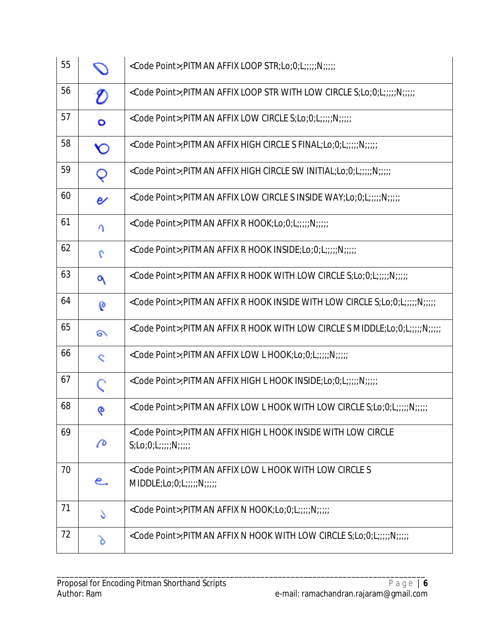| 55 |               | <code point="">;PITMAN AFFIX LOOP STR;Lo;0;L;;;;;N;;;;;</code>                                                           |
|----|---------------|--------------------------------------------------------------------------------------------------------------------------|
| 56 | O             | <code point="">;PITMAN AFFIX LOOP STR WITH LOW CIRCLE S;Lo;0;L;;;;;N;;;;;</code>                                         |
| 57 | $\circ$       | <code point="">;PITMAN AFFIX LOW CIRCLE S;Lo;0;L;;;;;N;;;;;</code>                                                       |
| 58 | <b>Y</b> O    | <code point="">;PITMAN AFFIX HIGH CIRCLE S FINAL;Lo;0;L;;;;;N;;;;;</code>                                                |
| 59 | Q             | <code point="">;PITMAN AFFIX HIGH CIRCLE SW INITIAL;Lo;0;L;;;;;N;;;;;</code>                                             |
| 60 | e             | <code point="">;PITMAN AFFIX LOW CIRCLE S INSIDE WAY;Lo;0;L;;;;;N;;;;;</code>                                            |
| 61 | $\Omega$      | <code point="">;PITMAN AFFIX R HOOK;Lo;0;L;;;;;N;;;;;</code>                                                             |
| 62 | $\mathcal{L}$ | <code point="">;PITMAN AFFIX R HOOK INSIDE;Lo;0;L;;;;;N;;;;;</code>                                                      |
| 63 | ٩             | <code point="">;PITMAN AFFIX R HOOK WITH LOW CIRCLE S;Lo;0;L;;;;;N;;;;;</code>                                           |
| 64 | $\mathbf{0}$  | <code point="">;PITMAN AFFIX R HOOK INSIDE WITH LOW CIRCLE S;Lo;0;L;;;;;N;;;;;</code>                                    |
| 65 | ର             | <code point="">;PITMAN AFFIX R HOOK WITH LOW CIRCLE S MIDDLE;Lo;0;L;;;;;N;;;;;</code>                                    |
| 66 | $\mathbf{C}$  | <code point="">;PITMAN AFFIX LOW L HOOK;Lo;0;L;;;;;N;;;;;</code>                                                         |
| 67 |               | <code point="">;PITMAN AFFIX HIGH L HOOK INSIDE;Lo;0;L;;;;;N;;;;;</code>                                                 |
| 68 | ୧             | <code point="">;PITMAN AFFIX LOW L HOOK WITH LOW CIRCLE S;Lo;0;L;;;;;N;;;;;</code>                                       |
| 69 | P             | <code point="">; PITMAN AFFIX HIGH L HOOK INSIDE WITH LOW CIRCLE<br/><math>S; Lo; O; L; \ldots; N; \ldots;</math></code> |
| 70 | e.            | <code point="">; PITMAN AFFIX LOW L HOOK WITH LOW CIRCLE S<br/><math>MIDDLE; Lo; O; L; \ldots; N; \ldots;</math></code>  |
| 71 | Š             | <code point="">;PITMAN AFFIX N HOOK;Lo;0;L;;;;;N;;;;;</code>                                                             |
| 72 | δ             | <code point="">;PITMAN AFFIX N HOOK WITH LOW CIRCLE S;Lo;0;L;;;;;N;;;;;</code>                                           |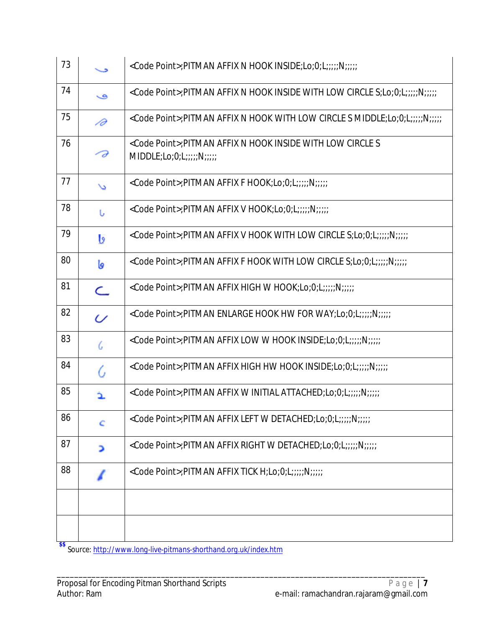| 73 |                | <code point="">;PITMAN AFFIX N HOOK INSIDE;Lo;0;L;;;;;N;;;;;</code>                                   |
|----|----------------|-------------------------------------------------------------------------------------------------------|
| 74 | ی              | <code point="">;PITMAN AFFIX N HOOK INSIDE WITH LOW CIRCLE S;Lo;0;L;;;;;N;;;;;</code>                 |
| 75 | 1∂             | <code point="">;PITMAN AFFIX N HOOK WITH LOW CIRCLE S MIDDLE;Lo;0;L;;;;;N;;;;;</code>                 |
| 76 | - Ə            | <code point="">; PITMAN AFFIX N HOOK INSIDE WITH LOW CIRCLE S<br/>MIDDLE; Lo; O; L;;;;; N;;;;;</code> |
| 77 | $\overline{a}$ | <code point="">;PITMAN AFFIX F HOOK;Lo;0;L;;;;;N;;;;;</code>                                          |
| 78 | U              | <code point="">;PITMAN AFFIX V HOOK;Lo;0;L;;;;;N;;;;;</code>                                          |
| 79 | b              | <code point="">;PITMAN AFFIX V HOOK WITH LOW CIRCLE S;Lo;0;L;;;;;N;;;;;</code>                        |
| 80 | İ٥             | <code point="">;PITMAN AFFIX F HOOK WITH LOW CIRCLE S;Lo;0;L;;;;;N;;;;;</code>                        |
| 81 | $\subset$      | <code point="">;PITMAN AFFIX HIGH W HOOK;Lo;0;L;;;;;N;;;;;</code>                                     |
| 82 | $\omega$       | <code point="">;PITMAN ENLARGE HOOK HW FOR WAY;Lo;0;L;;;;;N;;;;;</code>                               |
| 83 | G              | <code point="">;PITMAN AFFIX LOW W HOOK INSIDE;Lo;0;L;;;;;N;;;;;</code>                               |
| 84 | G              | <code point="">;PITMAN AFFIX HIGH HW HOOK INSIDE;Lo;0;L;;;;;N;;;;;</code>                             |
| 85 |                | <code point="">;PITMAN AFFIX W INITIAL ATTACHED;Lo;0;L;;;;;N;;;;;</code>                              |
| 86 | C              | <code point="">;PITMAN AFFIX LEFT W DETACHED;Lo;0;L;;;;;N;;;;;</code>                                 |
| 87 | ⋗              | <code point="">;PITMAN AFFIX RIGHT W DETACHED;Lo;0;L;;;;;N;;;;;</code>                                |
| 88 |                | <code point="">;PITMAN AFFIX TICK H;Lo;0;L;;;;;N;;;;;</code>                                          |
|    |                |                                                                                                       |
|    |                |                                                                                                       |

**\$\$** *Source: http://www.long-live-pitmans-shorthand.org.uk/index.htm*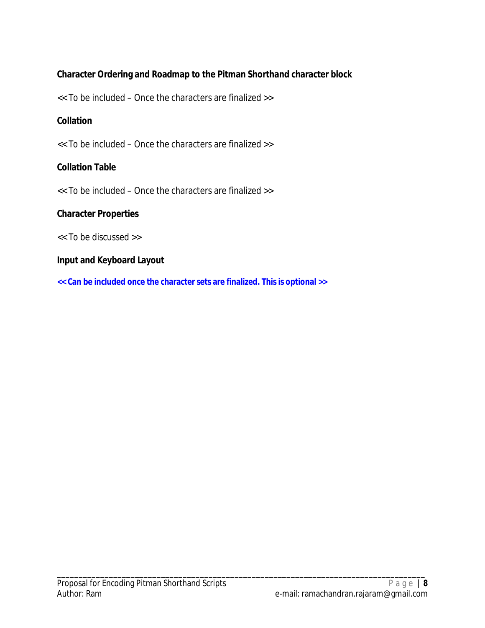## **Character Ordering and Roadmap to the Pitman Shorthand character block**

<< To be included – Once the characters are finalized >>

### **Collation**

<< To be included – Once the characters are finalized >>

### **Collation Table**

<< To be included – Once the characters are finalized >>

### **Character Properties**

<< To be discussed >>

### **Input and Keyboard Layout**

**<< Can be included once the character sets are finalized. This is optional >>**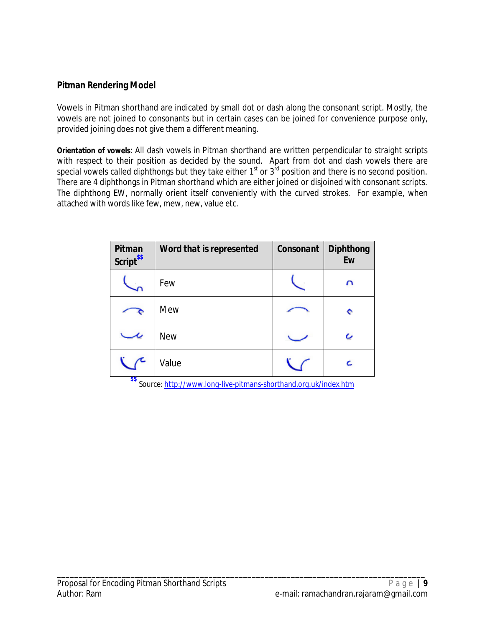### **Pitman Rendering Model**

Vowels in Pitman shorthand are indicated by small dot or dash along the consonant script. Mostly, the vowels are not joined to consonants but in certain cases can be joined for convenience purpose only, provided joining does not give them a different meaning.

**Orientation of vowels**: All dash vowels in Pitman shorthand are written perpendicular to straight scripts with respect to their position as decided by the sound. Apart from dot and dash vowels there are special vowels called diphthongs but they take either  $1<sup>st</sup>$  or  $3<sup>rd</sup>$  position and there is no second position. There are 4 diphthongs in Pitman shorthand which are either joined or disjoined with consonant scripts. The diphthong EW, normally orient itself conveniently with the curved strokes. For example, when attached with words like few, mew, new, value etc.

| <b>Pitman</b><br>Script <sup>\$\$</sup> | <b>Word that is represented</b> | Consonant | <b>Diphthong</b><br>Ew |
|-----------------------------------------|---------------------------------|-----------|------------------------|
|                                         | Few                             |           | n                      |
|                                         | Mew                             |           | е                      |
|                                         | <b>New</b>                      |           |                        |
|                                         | Value                           |           |                        |

**\$\$** *Source: http://www.long-live-pitmans-shorthand.org.uk/index.htm*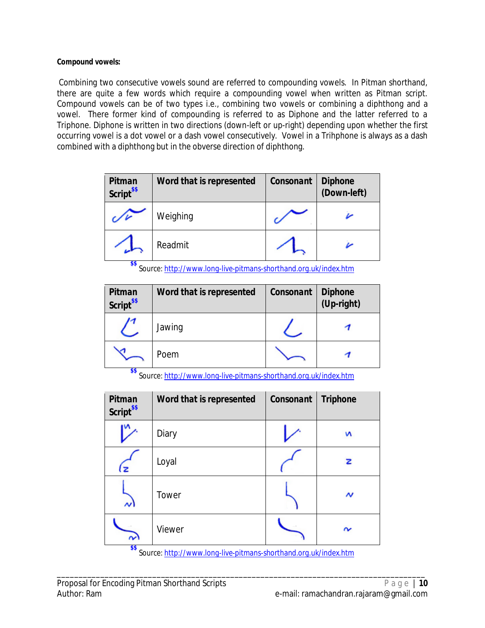#### **Compound vowels:**

Combining two consecutive vowels sound are referred to compounding vowels. In Pitman shorthand, there are quite a few words which require a compounding vowel when written as Pitman script. Compound vowels can be of two types i.e., combining two vowels or combining a diphthong and a vowel. There former kind of compounding is referred to as Diphone and the latter referred to a Triphone. Diphone is written in two directions (down-left or up-right) depending upon whether the first occurring vowel is a dot vowel or a dash vowel consecutively. Vowel in a Trihphone is always as a dash combined with a diphthong but in the obverse direction of diphthong.

| Pitman<br>Script <sup>\$\$</sup> | Word that is represented | Consonant | <b>Diphone</b><br>(Down-left) |
|----------------------------------|--------------------------|-----------|-------------------------------|
|                                  | Weighing                 |           |                               |
| --                               | Readmit                  |           |                               |

**\$\$** *Source: http://www.long-live-pitmans-shorthand.org.uk/index.htm*

| <b>Pitman</b><br>Script <sup>\$\$</sup> | Word that is represented | Consonant | <b>Diphone</b><br>(Up-right) |
|-----------------------------------------|--------------------------|-----------|------------------------------|
|                                         | Jawing                   |           |                              |
|                                         | Poem                     |           |                              |

**\$\$** *Source: http://www.long-live-pitmans-shorthand.org.uk/index.htm*

| <b>Pitman</b><br><b>Script</b> <sup>\$\$</sup> | Word that is represented | Consonant | <b>Triphone</b> |
|------------------------------------------------|--------------------------|-----------|-----------------|
|                                                | Diary                    |           | N               |
|                                                | Loyal                    |           | z               |
| $\sim$                                         | Tower                    |           | N               |
| $\sim$                                         | Viewer                   |           |                 |
| \$\$<br>$\sim$                                 |                          |           |                 |

*Source: http://www.long-live-pitmans-shorthand.org.uk/index.htm*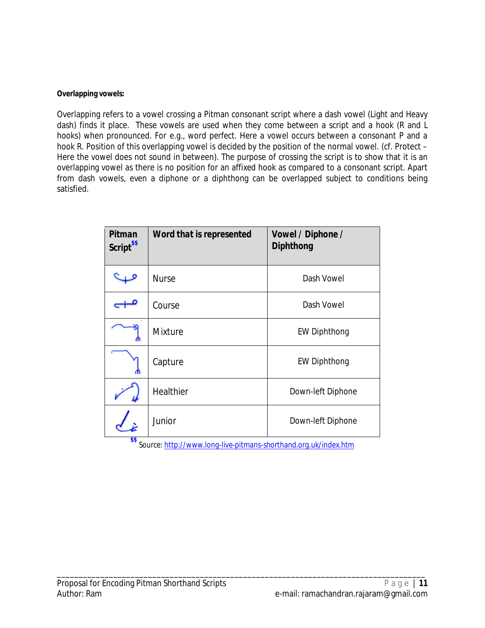#### **Overlapping vowels:**

Overlapping refers to a vowel crossing a Pitman consonant script where a dash vowel (Light and Heavy dash) finds it place. These vowels are used when they come between a script and a hook (R and L hooks) when pronounced. For e.g., word *perfect*. Here a vowel occurs between a consonant P and a hook R. Position of this overlapping vowel is decided by the position of the normal vowel. (cf. Protect – Here the vowel does not sound in between). The purpose of crossing the script is to show that it is an overlapping vowel as there is no position for an affixed hook as compared to a consonant script. Apart from dash vowels, even a diphone or a diphthong can be overlapped subject to conditions being satisfied.

| Pitman<br>Script <sup>ss</sup> | Word that is represented | Vowel / Diphone /<br><b>Diphthong</b> |
|--------------------------------|--------------------------|---------------------------------------|
|                                | <b>Nurse</b>             | Dash Vowel                            |
|                                | Course                   | Dash Vowel                            |
|                                | <b>Mixture</b>           | <b>EW Diphthong</b>                   |
|                                | Capture                  | <b>EW Diphthong</b>                   |
|                                | <b>Healthier</b>         | Down-left Diphone                     |
| ¢¢                             | Junior                   | Down-left Diphone                     |

**\$\$** *Source: http://www.long-live-pitmans-shorthand.org.uk/index.htm*

\_\_\_\_\_\_\_\_\_\_\_\_\_\_\_\_\_\_\_\_\_\_\_\_\_\_\_\_\_\_\_\_\_\_\_\_\_\_\_\_\_\_\_\_\_\_\_\_\_\_\_\_\_\_\_\_\_\_\_\_\_\_\_\_\_\_\_\_\_\_\_\_\_\_\_\_\_\_\_\_\_\_\_\_\_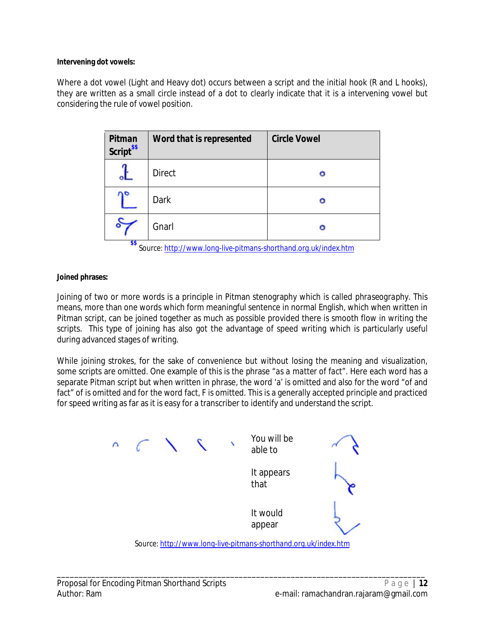#### **Intervening dot vowels:**

Where a dot vowel (Light and Heavy dot) occurs between a script and the initial hook (R and L hooks), they are written as a small circle instead of a dot to clearly indicate that it is a intervening vowel but considering the rule of vowel position.

| Pitman<br>Script <sup>\$\$</sup> | Word that is represented | <b>Circle Vowel</b> |
|----------------------------------|--------------------------|---------------------|
|                                  | <b>Direct</b>            | ο                   |
|                                  | Dark                     | o                   |
| ሎሎ                               | Gnarl                    | ٥                   |

**\$\$** *Source: http://www.long-live-pitmans-shorthand.org.uk/index.htm*

#### **Joined phrases:**

Joining of two or more words is a principle in Pitman stenography which is called *phraseography*. This means, more than one words which form meaningful sentence in normal English, which when written in Pitman script, can be joined together as much as possible provided there is smooth flow in writing the scripts. This type of joining has also got the advantage of speed writing which is particularly useful during advanced stages of writing.

While joining strokes, for the sake of convenience but without losing the meaning and visualization, some scripts are omitted. One example of this is the phrase *"as a matter of fact"*. Here each word has a separate Pitman script but when written in phrase, the word 'a' is omitted and also for the word "of and fact" of is omitted and for the word fact, F is omitted. This is a generally accepted principle and practiced for speed writing as far as it is easy for a transcriber to identify and understand the script.



*Source: http://www.long-live-pitmans-shorthand.org.uk/index.htm*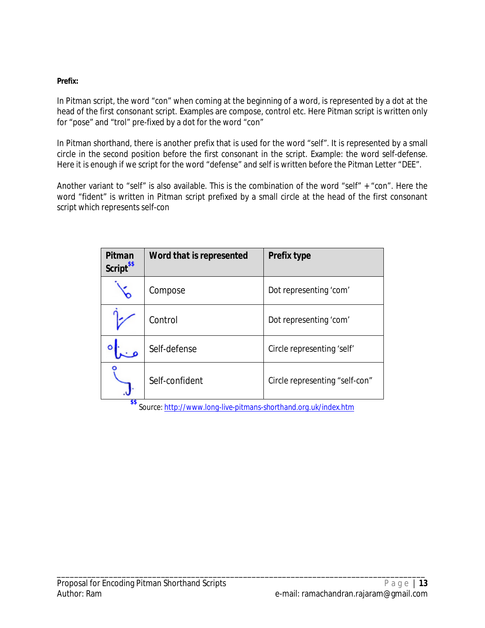### **Prefix:**

In Pitman script, the word *"con*" when coming at the beginning of a word, is represented by a *dot* at the head of the first consonant script. Examples are compose, control etc. Here Pitman script is written only for "pose" and "trol" pre-fixed by a dot for the word "con"

In Pitman shorthand, there is another prefix that is used for the word "self". It is represented by a small circle in the second position before the first consonant in the script. Example: the word self-defense. Here it is enough if we script for the word "defense" and self is written before the Pitman Letter "DEE".

Another variant to "self" is also available. This is the combination of the word "self" + "con". Here the word "fident" is written in Pitman script prefixed by a small circle at the head of the first consonant script which represents self-con

| Pitman<br>Script <sup>\$\$</sup> | Word that is represented | <b>Prefix type</b>             |
|----------------------------------|--------------------------|--------------------------------|
|                                  | Compose                  | Dot representing 'com'         |
|                                  | Control                  | Dot representing 'com'         |
|                                  | Self-defense             | Circle representing 'self'     |
| œ                                | Self-confident           | Circle representing "self-con" |

**\$\$** *Source: http://www.long-live-pitmans-shorthand.org.uk/index.htm*